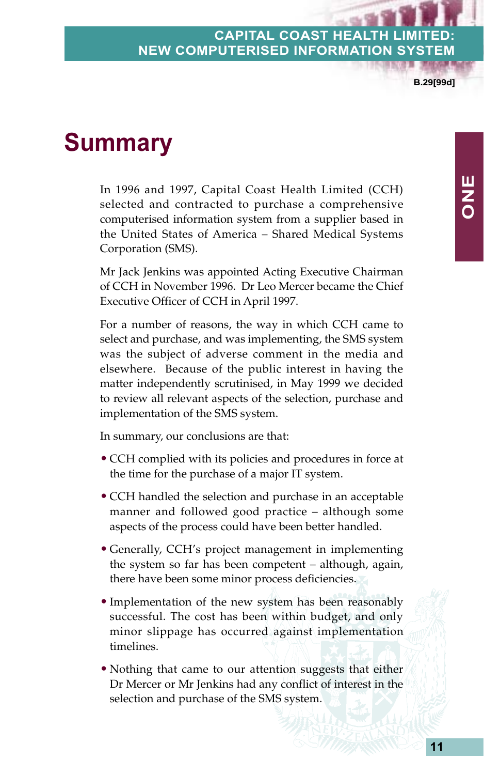**B.29[99d]**

**ONE**

# **Summary**

In 1996 and 1997, Capital Coast Health Limited (CCH) selected and contracted to purchase a comprehensive computerised information system from a supplier based in the United States of America – Shared Medical Systems Corporation (SMS).

Mr Jack Jenkins was appointed Acting Executive Chairman of CCH in November 1996. Dr Leo Mercer became the Chief Executive Officer of CCH in April 1997.

For a number of reasons, the way in which CCH came to select and purchase, and was implementing, the SMS system was the subject of adverse comment in the media and elsewhere. Because of the public interest in having the matter independently scrutinised, in May 1999 we decided to review all relevant aspects of the selection, purchase and implementation of the SMS system.

In summary, our conclusions are that:

- CCH complied with its policies and procedures in force at the time for the purchase of a major IT system.
- CCH handled the selection and purchase in an acceptable manner and followed good practice – although some aspects of the process could have been better handled.
- Generally, CCH's project management in implementing the system so far has been competent – although, again, there have been some minor process deficiencies.
- Implementation of the new system has been reasonably successful. The cost has been within budget, and only minor slippage has occurred against implementation timelines.
- Nothing that came to our attention suggests that either Dr Mercer or Mr Jenkins had any conflict of interest in the selection and purchase of the SMS system.

**11**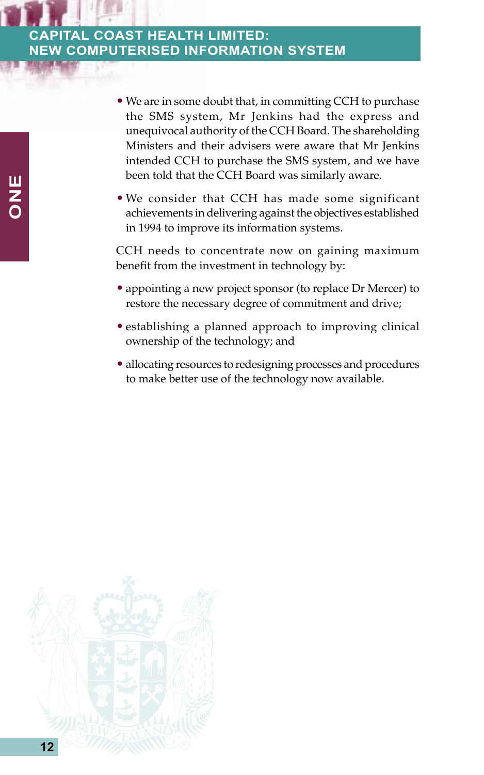- We are in some doubt that, in committing CCH to purchase the SMS system, Mr Jenkins had the express and unequivocal authority of the CCH Board. The shareholding Ministers and their advisers were aware that Mr Jenkins intended CCH to purchase the SMS system, and we have been told that the CCH Board was similarly aware.
- We consider that CCH has made some significant achievements in delivering against the objectives established in 1994 to improve its information systems.

CCH needs to concentrate now on gaining maximum benefit from the investment in technology by:

- appointing a new project sponsor (to replace Dr Mercer) to restore the necessary degree of commitment and drive;
- establishing a planned approach to improving clinical ownership of the technology; and
- allocating resources to redesigning processes and procedures to make better use of the technology now available.

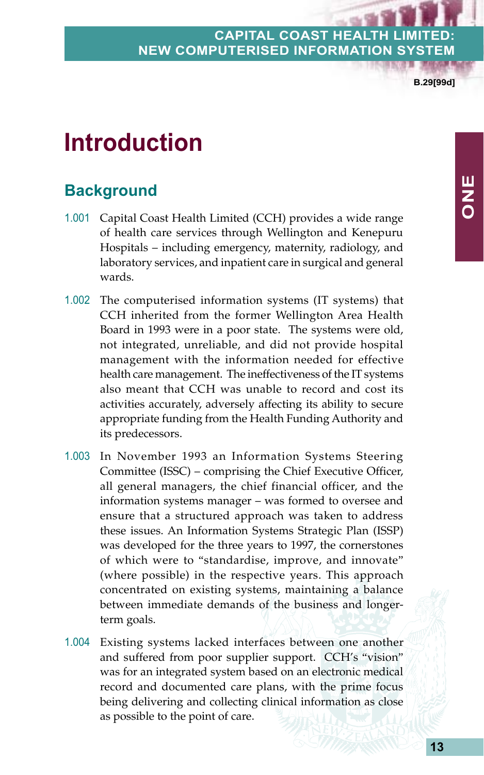**B.29[99d]**

# **Introduction**

# **Background**

- 1.001 Capital Coast Health Limited (CCH) provides a wide range of health care services through Wellington and Kenepuru Hospitals – including emergency, maternity, radiology, and laboratory services, and inpatient care in surgical and general wards.
- 1.002 The computerised information systems (IT systems) that CCH inherited from the former Wellington Area Health Board in 1993 were in a poor state. The systems were old, not integrated, unreliable, and did not provide hospital management with the information needed for effective health care management. The ineffectiveness of the IT systems also meant that CCH was unable to record and cost its activities accurately, adversely affecting its ability to secure appropriate funding from the Health Funding Authority and its predecessors.
- 1.003 In November 1993 an Information Systems Steering Committee (ISSC) – comprising the Chief Executive Officer, all general managers, the chief financial officer, and the information systems manager – was formed to oversee and ensure that a structured approach was taken to address these issues. An Information Systems Strategic Plan (ISSP) was developed for the three years to 1997, the cornerstones of which were to "standardise, improve, and innovate" (where possible) in the respective years. This approach concentrated on existing systems, maintaining a balance between immediate demands of the business and longerterm goals.
- 1.004 Existing systems lacked interfaces between one another and suffered from poor supplier support. CCH's "vision" was for an integrated system based on an electronic medical record and documented care plans, with the prime focus being delivering and collecting clinical information as close as possible to the point of care.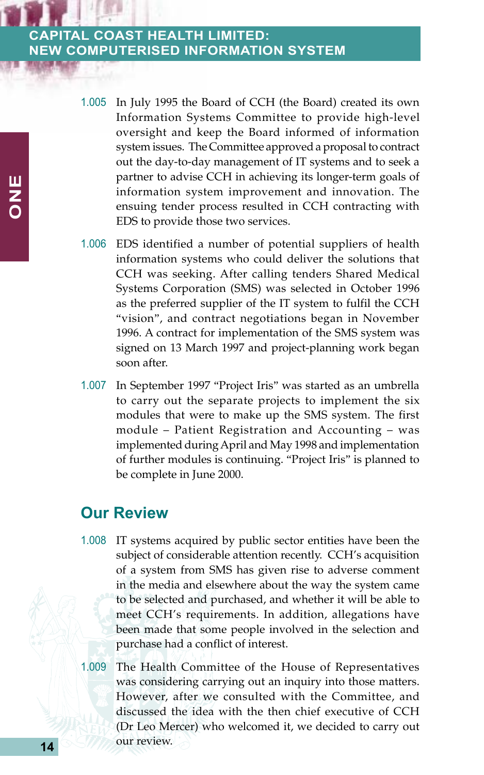- 1.005 In July 1995 the Board of CCH (the Board) created its own Information Systems Committee to provide high-level oversight and keep the Board informed of information system issues. The Committee approved a proposal to contract out the day-to-day management of IT systems and to seek a partner to advise CCH in achieving its longer-term goals of information system improvement and innovation. The ensuing tender process resulted in CCH contracting with EDS to provide those two services.
- 1.006 EDS identified a number of potential suppliers of health information systems who could deliver the solutions that CCH was seeking. After calling tenders Shared Medical Systems Corporation (SMS) was selected in October 1996 as the preferred supplier of the IT system to fulfil the CCH "vision", and contract negotiations began in November 1996. A contract for implementation of the SMS system was signed on 13 March 1997 and project-planning work began soon after.
- 1.007 In September 1997 "Project Iris" was started as an umbrella to carry out the separate projects to implement the six modules that were to make up the SMS system. The first module – Patient Registration and Accounting – was implemented during April and May 1998 and implementation of further modules is continuing. "Project Iris" is planned to be complete in June 2000.

#### **Our Review**

- 1.008 IT systems acquired by public sector entities have been the subject of considerable attention recently. CCH's acquisition of a system from SMS has given rise to adverse comment in the media and elsewhere about the way the system came to be selected and purchased, and whether it will be able to meet CCH's requirements. In addition, allegations have been made that some people involved in the selection and purchase had a conflict of interest.
- 1.009 The Health Committee of the House of Representatives was considering carrying out an inquiry into those matters. However, after we consulted with the Committee, and discussed the idea with the then chief executive of CCH (Dr Leo Mercer) who welcomed it, we decided to carry out our review.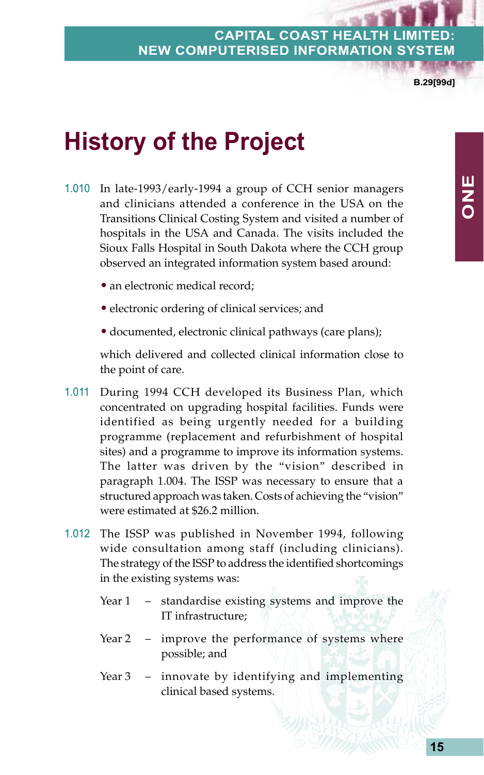**B.29[99d]**

**ONE**

# **History of the Project**

- 1.010 In late-1993/early-1994 a group of CCH senior managers and clinicians attended a conference in the USA on the Transitions Clinical Costing System and visited a number of hospitals in the USA and Canada. The visits included the Sioux Falls Hospital in South Dakota where the CCH group observed an integrated information system based around:
	- an electronic medical record;
	- electronic ordering of clinical services; and
	- documented, electronic clinical pathways (care plans);

which delivered and collected clinical information close to the point of care.

- 1.011 During 1994 CCH developed its Business Plan, which concentrated on upgrading hospital facilities. Funds were identified as being urgently needed for a building programme (replacement and refurbishment of hospital sites) and a programme to improve its information systems. The latter was driven by the "vision" described in paragraph 1.004. The ISSP was necessary to ensure that a structured approach was taken. Costs of achieving the "vision" were estimated at \$26.2 million.
- 1.012 The ISSP was published in November 1994, following wide consultation among staff (including clinicians). The strategy of the ISSP to address the identified shortcomings in the existing systems was:
	- Year 1 standardise existing systems and improve the IT infrastructure;
	- Year 2 improve the performance of systems where possible; and
	- Year 3 innovate by identifying and implementing clinical based systems.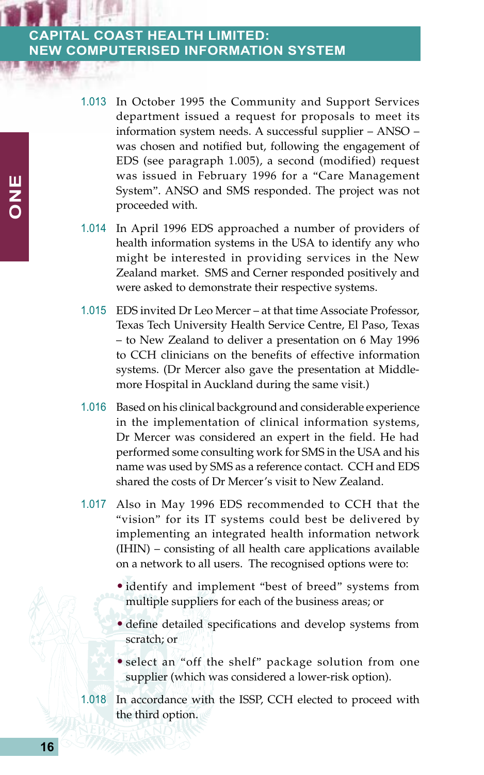- 1.013 In October 1995 the Community and Support Services department issued a request for proposals to meet its information system needs. A successful supplier – ANSO – was chosen and notified but, following the engagement of EDS (see paragraph 1.005), a second (modified) request was issued in February 1996 for a "Care Management System". ANSO and SMS responded. The project was not proceeded with.
- 1.014 In April 1996 EDS approached a number of providers of health information systems in the USA to identify any who might be interested in providing services in the New Zealand market. SMS and Cerner responded positively and were asked to demonstrate their respective systems.
- 1.015 EDS invited Dr Leo Mercer at that time Associate Professor, Texas Tech University Health Service Centre, El Paso, Texas – to New Zealand to deliver a presentation on 6 May 1996 to CCH clinicians on the benefits of effective information systems. (Dr Mercer also gave the presentation at Middlemore Hospital in Auckland during the same visit.)
- 1.016 Based on his clinical background and considerable experience in the implementation of clinical information systems, Dr Mercer was considered an expert in the field. He had performed some consulting work for SMS in the USA and his name was used by SMS as a reference contact. CCH and EDS shared the costs of Dr Mercer's visit to New Zealand.
- 1.017 Also in May 1996 EDS recommended to CCH that the "vision" for its IT systems could best be delivered by implementing an integrated health information network (IHIN) – consisting of all health care applications available on a network to all users. The recognised options were to:
	- identify and implement "best of breed" systems from multiple suppliers for each of the business areas; or
	- define detailed specifications and develop systems from scratch; or
	- select an "off the shelf" package solution from one supplier (which was considered a lower-risk option).
- 1.018 In accordance with the ISSP, CCH elected to proceed with the third option.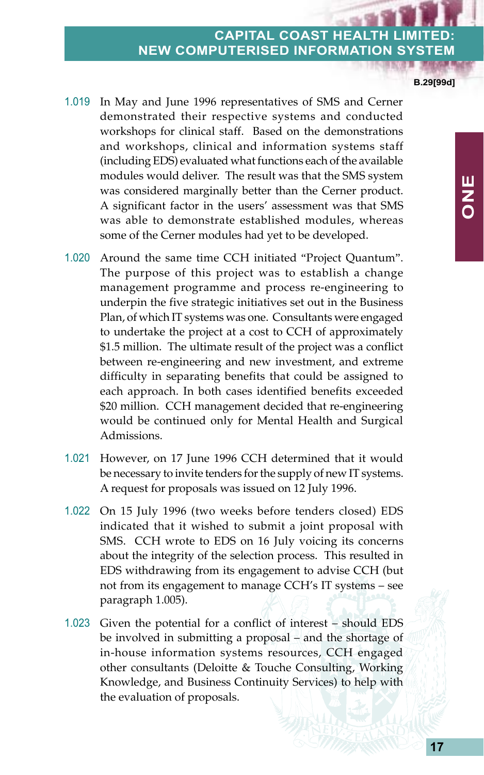**B.29[99d]**

- 1.019 In May and June 1996 representatives of SMS and Cerner demonstrated their respective systems and conducted workshops for clinical staff. Based on the demonstrations and workshops, clinical and information systems staff (including EDS) evaluated what functions each of the available modules would deliver. The result was that the SMS system was considered marginally better than the Cerner product. A significant factor in the users' assessment was that SMS was able to demonstrate established modules, whereas some of the Cerner modules had yet to be developed.
- 1.020 Around the same time CCH initiated "Project Quantum". The purpose of this project was to establish a change management programme and process re-engineering to underpin the five strategic initiatives set out in the Business Plan, of which IT systems was one. Consultants were engaged to undertake the project at a cost to CCH of approximately \$1.5 million. The ultimate result of the project was a conflict between re-engineering and new investment, and extreme difficulty in separating benefits that could be assigned to each approach. In both cases identified benefits exceeded \$20 million. CCH management decided that re-engineering would be continued only for Mental Health and Surgical Admissions.
- 1.021 However, on 17 June 1996 CCH determined that it would be necessary to invite tenders for the supply of new IT systems. A request for proposals was issued on 12 July 1996.
- 1.022 On 15 July 1996 (two weeks before tenders closed) EDS indicated that it wished to submit a joint proposal with SMS. CCH wrote to EDS on 16 July voicing its concerns about the integrity of the selection process. This resulted in EDS withdrawing from its engagement to advise CCH (but not from its engagement to manage CCH's IT systems – see paragraph 1.005).
- 1.023 Given the potential for a conflict of interest should EDS be involved in submitting a proposal – and the shortage of in-house information systems resources, CCH engaged other consultants (Deloitte & Touche Consulting, Working Knowledge, and Business Continuity Services) to help with the evaluation of proposals.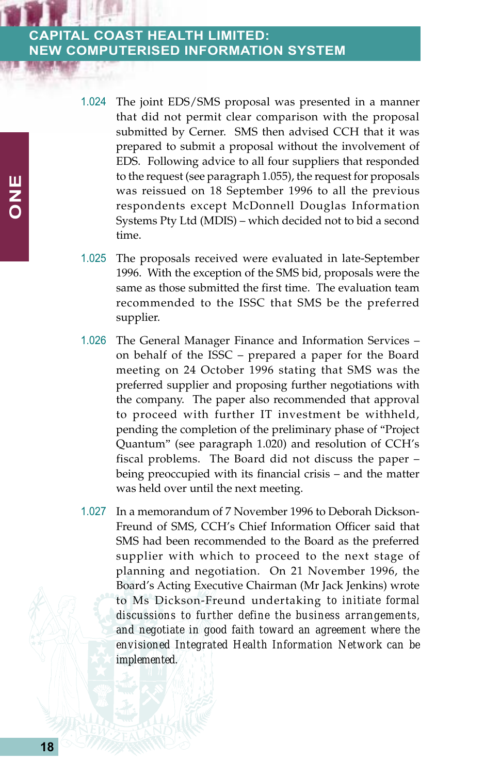- 1.024 The joint EDS/SMS proposal was presented in a manner that did not permit clear comparison with the proposal submitted by Cerner. SMS then advised CCH that it was prepared to submit a proposal without the involvement of EDS. Following advice to all four suppliers that responded to the request (see paragraph 1.055), the request for proposals was reissued on 18 September 1996 to all the previous respondents except McDonnell Douglas Information Systems Pty Ltd (MDIS) – which decided not to bid a second time.
- 1.025 The proposals received were evaluated in late-September 1996. With the exception of the SMS bid, proposals were the same as those submitted the first time. The evaluation team recommended to the ISSC that SMS be the preferred supplier.
- 1.026 The General Manager Finance and Information Services on behalf of the ISSC – prepared a paper for the Board meeting on 24 October 1996 stating that SMS was the preferred supplier and proposing further negotiations with the company. The paper also recommended that approval to proceed with further IT investment be withheld, pending the completion of the preliminary phase of "Project Quantum" (see paragraph 1.020) and resolution of CCH's fiscal problems. The Board did not discuss the paper – being preoccupied with its financial crisis – and the matter was held over until the next meeting.
- 1.027 In a memorandum of 7 November 1996 to Deborah Dickson-Freund of SMS, CCH's Chief Information Officer said that SMS had been recommended to the Board as the preferred supplier with which to proceed to the next stage of planning and negotiation. On 21 November 1996, the Board's Acting Executive Chairman (Mr Jack Jenkins) wrote to Ms Dickson-Freund undertaking *to initiate formal discussions to further define the business arrangements, and negotiate in good faith toward an agreement where the envisioned Integrated Health Information Network can be implemented*.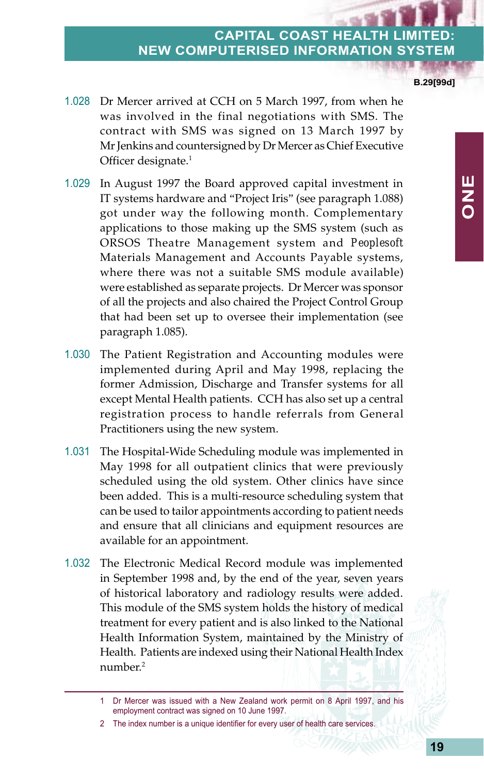1.028 Dr Mercer arrived at CCH on 5 March 1997, from when he was involved in the final negotiations with SMS. The contract with SMS was signed on 13 March 1997 by Mr Jenkins and countersigned by Dr Mercer as Chief Executive Officer designate.<sup>1</sup>

- 1.029 In August 1997 the Board approved capital investment in IT systems hardware and "Project Iris" (see paragraph 1.088) got under way the following month. Complementary applications to those making up the SMS system (such as ORSOS Theatre Management system and *Peoplesoft* Materials Management and Accounts Payable systems, where there was not a suitable SMS module available) were established as separate projects. Dr Mercer was sponsor of all the projects and also chaired the Project Control Group that had been set up to oversee their implementation (see paragraph 1.085).
- 1.030 The Patient Registration and Accounting modules were implemented during April and May 1998, replacing the former Admission, Discharge and Transfer systems for all except Mental Health patients. CCH has also set up a central registration process to handle referrals from General Practitioners using the new system.
- 1.031 The Hospital-Wide Scheduling module was implemented in May 1998 for all outpatient clinics that were previously scheduled using the old system. Other clinics have since been added. This is a multi-resource scheduling system that can be used to tailor appointments according to patient needs and ensure that all clinicians and equipment resources are available for an appointment.
- 1.032 The Electronic Medical Record module was implemented in September 1998 and, by the end of the year, seven years of historical laboratory and radiology results were added. This module of the SMS system holds the history of medical treatment for every patient and is also linked to the National Health Information System, maintained by the Ministry of Health. Patients are indexed using their National Health Index number.2

**B.29[99d]**

<sup>1</sup> Dr Mercer was issued with a New Zealand work permit on 8 April 1997, and his employment contract was signed on 10 June 1997.

<sup>2</sup> The index number is a unique identifier for every user of health care services.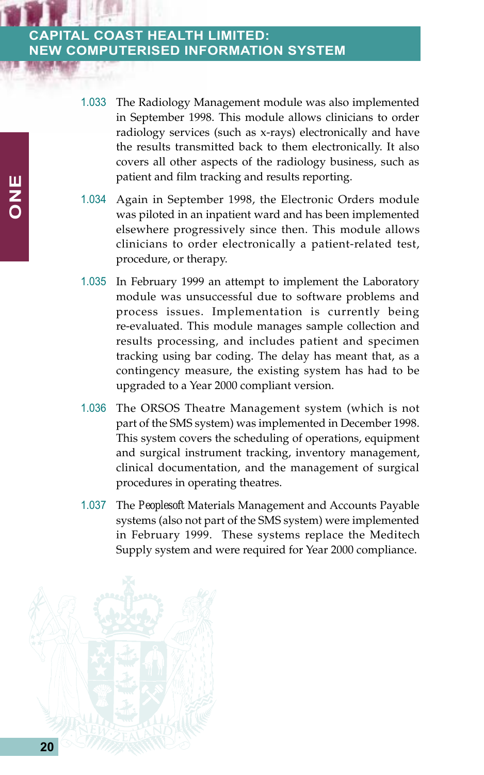- 1.033 The Radiology Management module was also implemented in September 1998. This module allows clinicians to order radiology services (such as x-rays) electronically and have the results transmitted back to them electronically. It also covers all other aspects of the radiology business, such as patient and film tracking and results reporting.
- 1.034 Again in September 1998, the Electronic Orders module was piloted in an inpatient ward and has been implemented elsewhere progressively since then. This module allows clinicians to order electronically a patient-related test, procedure, or therapy.
- 1.035 In February 1999 an attempt to implement the Laboratory module was unsuccessful due to software problems and process issues. Implementation is currently being re-evaluated. This module manages sample collection and results processing, and includes patient and specimen tracking using bar coding. The delay has meant that, as a contingency measure, the existing system has had to be upgraded to a Year 2000 compliant version.
- 1.036 The ORSOS Theatre Management system (which is not part of the SMS system) was implemented in December 1998. This system covers the scheduling of operations, equipment and surgical instrument tracking, inventory management, clinical documentation, and the management of surgical procedures in operating theatres.
- 1.037 The *Peoplesoft* Materials Management and Accounts Payable systems (also not part of the SMS system) were implemented in February 1999. These systems replace the Meditech Supply system and were required for Year 2000 compliance.

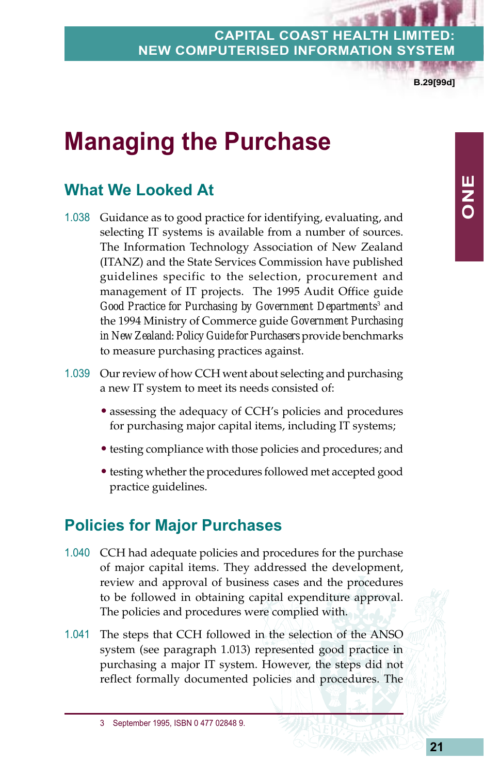**B.29[99d]**

**ONE**

# **Managing the Purchase**

# **What We Looked At**

- 1.038 Guidance as to good practice for identifying, evaluating, and selecting IT systems is available from a number of sources. The Information Technology Association of New Zealand (ITANZ) and the State Services Commission have published guidelines specific to the selection, procurement and management of IT projects. The 1995 Audit Office guide Good Practice for Purchasing by Government Departments<sup>3</sup> and the 1994 Ministry of Commerce guide *Government Purchasing in New Zealand: Policy Guide for Purchasers* provide benchmarks to measure purchasing practices against.
- 1.039 Our review of how CCH went about selecting and purchasing a new IT system to meet its needs consisted of:
	- assessing the adequacy of CCH's policies and procedures for purchasing major capital items, including IT systems;
	- testing compliance with those policies and procedures; and
	- testing whether the procedures followed met accepted good practice guidelines.

## **Policies for Major Purchases**

- 1.040 CCH had adequate policies and procedures for the purchase of major capital items. They addressed the development, review and approval of business cases and the procedures to be followed in obtaining capital expenditure approval. The policies and procedures were complied with.
- 1.041 The steps that CCH followed in the selection of the ANSO system (see paragraph 1.013) represented good practice in purchasing a major IT system. However, the steps did not reflect formally documented policies and procedures. The

<sup>3</sup> September 1995, ISBN 0 477 02848 9.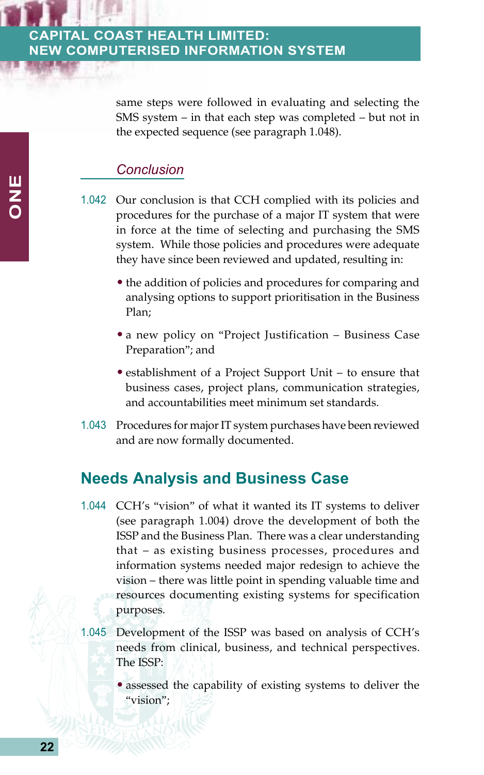same steps were followed in evaluating and selecting the SMS system – in that each step was completed – but not in the expected sequence (see paragraph 1.048).

#### *Conclusion*

- 1.042 Our conclusion is that CCH complied with its policies and procedures for the purchase of a major IT system that were in force at the time of selecting and purchasing the SMS system. While those policies and procedures were adequate they have since been reviewed and updated, resulting in:
	- the addition of policies and procedures for comparing and analysing options to support prioritisation in the Business Plan;
	- a new policy on "Project Justification Business Case Preparation"; and
	- establishment of a Project Support Unit to ensure that business cases, project plans, communication strategies, and accountabilities meet minimum set standards.
- 1.043 Procedures for major IT system purchases have been reviewed and are now formally documented.

## **Needs Analysis and Business Case**

- 1.044 CCH's "vision" of what it wanted its IT systems to deliver (see paragraph 1.004) drove the development of both the ISSP and the Business Plan. There was a clear understanding that – as existing business processes, procedures and information systems needed major redesign to achieve the vision – there was little point in spending valuable time and resources documenting existing systems for specification purposes.
- 1.045 Development of the ISSP was based on analysis of CCH's needs from clinical, business, and technical perspectives. The ISSP:
	- assessed the capability of existing systems to deliver the "vision";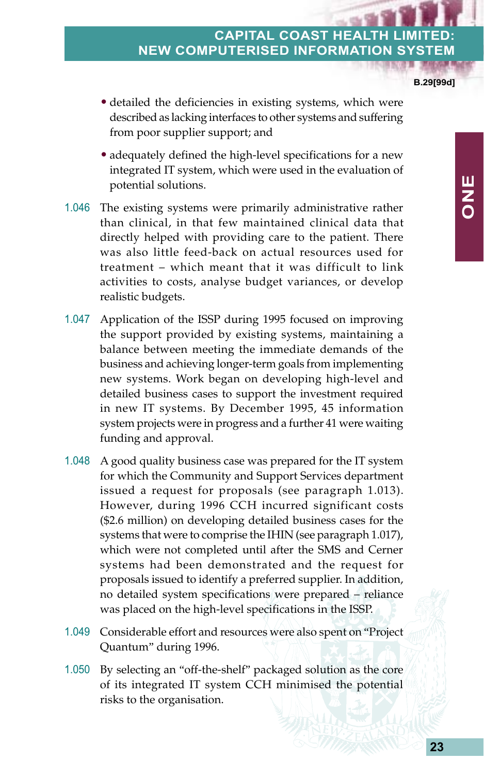**B.29[99d]**

**ONE**

- detailed the deficiencies in existing systems, which were described as lacking interfaces to other systems and suffering from poor supplier support; and
- adequately defined the high-level specifications for a new integrated IT system, which were used in the evaluation of potential solutions.
- 1.046 The existing systems were primarily administrative rather than clinical, in that few maintained clinical data that directly helped with providing care to the patient. There was also little feed-back on actual resources used for treatment – which meant that it was difficult to link activities to costs, analyse budget variances, or develop realistic budgets.
- 1.047 Application of the ISSP during 1995 focused on improving the support provided by existing systems, maintaining a balance between meeting the immediate demands of the business and achieving longer-term goals from implementing new systems. Work began on developing high-level and detailed business cases to support the investment required in new IT systems. By December 1995, 45 information system projects were in progress and a further 41 were waiting funding and approval.
- 1.048 A good quality business case was prepared for the IT system for which the Community and Support Services department issued a request for proposals (see paragraph 1.013). However, during 1996 CCH incurred significant costs (\$2.6 million) on developing detailed business cases for the systems that were to comprise the IHIN (see paragraph 1.017), which were not completed until after the SMS and Cerner systems had been demonstrated and the request for proposals issued to identify a preferred supplier. In addition, no detailed system specifications were prepared – reliance was placed on the high-level specifications in the ISSP.
- 1.049 Considerable effort and resources were also spent on "Project Quantum" during 1996.
- 1.050 By selecting an "off-the-shelf" packaged solution as the core of its integrated IT system CCH minimised the potential risks to the organisation.

**23**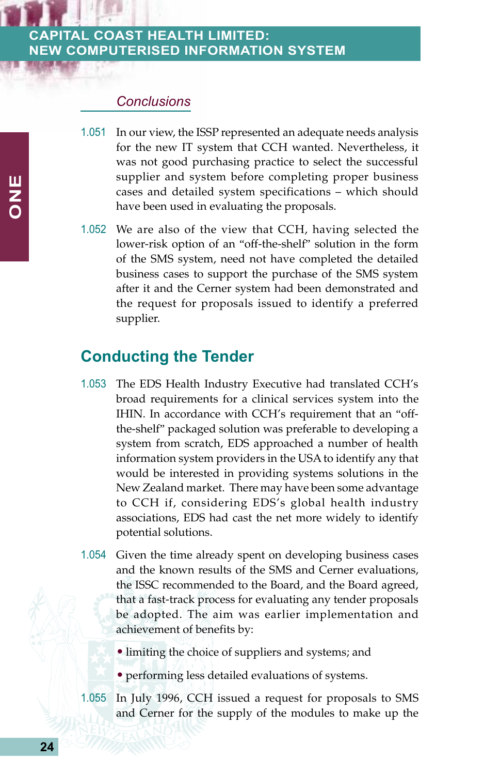#### *Conclusions*

- 1.051 In our view, the ISSP represented an adequate needs analysis for the new IT system that CCH wanted. Nevertheless, it was not good purchasing practice to select the successful supplier and system before completing proper business cases and detailed system specifications – which should have been used in evaluating the proposals.
- 1.052 We are also of the view that CCH, having selected the lower-risk option of an "off-the-shelf" solution in the form of the SMS system, need not have completed the detailed business cases to support the purchase of the SMS system after it and the Cerner system had been demonstrated and the request for proposals issued to identify a preferred supplier.

## **Conducting the Tender**

- 1.053 The EDS Health Industry Executive had translated CCH's broad requirements for a clinical services system into the IHIN. In accordance with CCH's requirement that an "offthe-shelf" packaged solution was preferable to developing a system from scratch, EDS approached a number of health information system providers in the USA to identify any that would be interested in providing systems solutions in the New Zealand market. There may have been some advantage to CCH if, considering EDS's global health industry associations, EDS had cast the net more widely to identify potential solutions.
- 1.054 Given the time already spent on developing business cases and the known results of the SMS and Cerner evaluations, the ISSC recommended to the Board, and the Board agreed, that a fast-track process for evaluating any tender proposals be adopted. The aim was earlier implementation and achievement of benefits by:
	- limiting the choice of suppliers and systems; and
	- performing less detailed evaluations of systems.
- 1.055 In July 1996, CCH issued a request for proposals to SMS and Cerner for the supply of the modules to make up the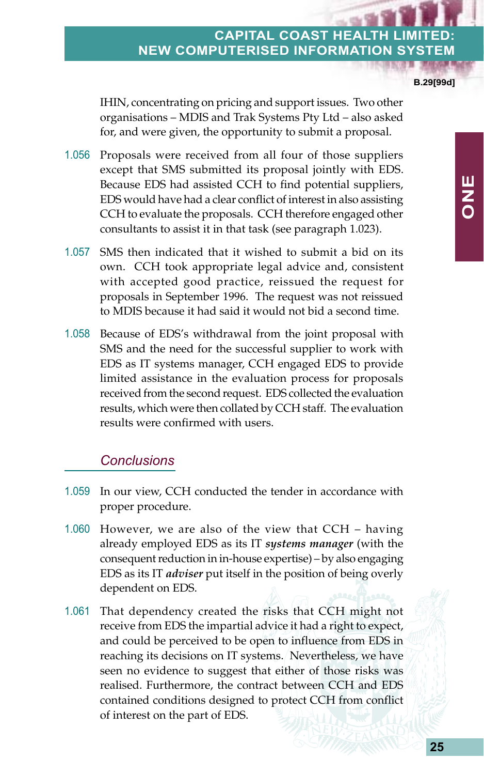**B.29[99d]**

**ONE**

IHIN, concentrating on pricing and support issues. Two other organisations – MDIS and Trak Systems Pty Ltd – also asked for, and were given, the opportunity to submit a proposal.

- 1.056 Proposals were received from all four of those suppliers except that SMS submitted its proposal jointly with EDS. Because EDS had assisted CCH to find potential suppliers, EDS would have had a clear conflict of interest in also assisting CCH to evaluate the proposals. CCH therefore engaged other consultants to assist it in that task (see paragraph 1.023).
- 1.057 SMS then indicated that it wished to submit a bid on its own. CCH took appropriate legal advice and, consistent with accepted good practice, reissued the request for proposals in September 1996. The request was not reissued to MDIS because it had said it would not bid a second time.
- 1.058 Because of EDS's withdrawal from the joint proposal with SMS and the need for the successful supplier to work with EDS as IT systems manager, CCH engaged EDS to provide limited assistance in the evaluation process for proposals received from the second request. EDS collected the evaluation results, which were then collated by CCH staff. The evaluation results were confirmed with users.

#### *Conclusions*

- 1.059 In our view, CCH conducted the tender in accordance with proper procedure.
- 1.060 However, we are also of the view that CCH having already employed EDS as its IT *systems manager* (with the consequent reduction in in-house expertise) – by also engaging EDS as its IT *adviser* put itself in the position of being overly dependent on EDS.
- 1.061 That dependency created the risks that CCH might not receive from EDS the impartial advice it had a right to expect, and could be perceived to be open to influence from EDS in reaching its decisions on IT systems. Nevertheless, we have seen no evidence to suggest that either of those risks was realised. Furthermore, the contract between CCH and EDS contained conditions designed to protect CCH from conflict of interest on the part of EDS.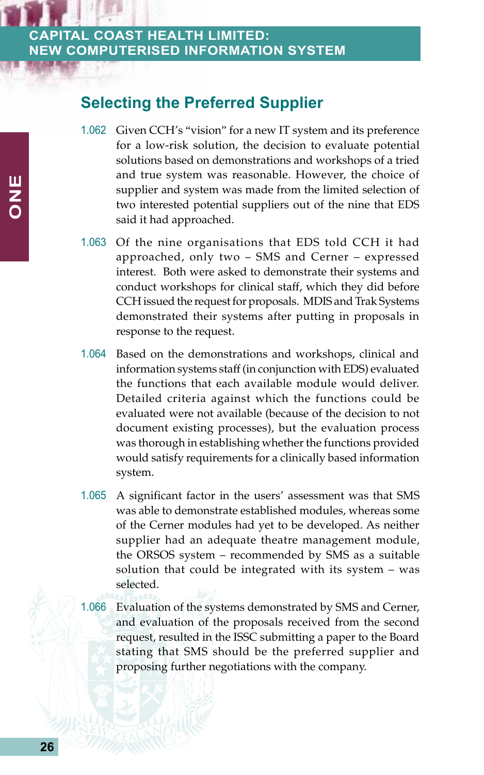## **Selecting the Preferred Supplier**

- 1.062 Given CCH's "vision" for a new IT system and its preference for a low-risk solution, the decision to evaluate potential solutions based on demonstrations and workshops of a tried and true system was reasonable. However, the choice of supplier and system was made from the limited selection of two interested potential suppliers out of the nine that EDS said it had approached.
- 1.063 Of the nine organisations that EDS told CCH it had approached, only two – SMS and Cerner – expressed interest. Both were asked to demonstrate their systems and conduct workshops for clinical staff, which they did before CCH issued the request for proposals. MDIS and Trak Systems demonstrated their systems after putting in proposals in response to the request.
- 1.064 Based on the demonstrations and workshops, clinical and information systems staff (in conjunction with EDS) evaluated the functions that each available module would deliver. Detailed criteria against which the functions could be evaluated were not available (because of the decision to not document existing processes), but the evaluation process was thorough in establishing whether the functions provided would satisfy requirements for a clinically based information system.
- 1.065 A significant factor in the users' assessment was that SMS was able to demonstrate established modules, whereas some of the Cerner modules had yet to be developed. As neither supplier had an adequate theatre management module, the ORSOS system – recommended by SMS as a suitable solution that could be integrated with its system – was selected.
- 1.066 Evaluation of the systems demonstrated by SMS and Cerner, and evaluation of the proposals received from the second request, resulted in the ISSC submitting a paper to the Board stating that SMS should be the preferred supplier and proposing further negotiations with the company.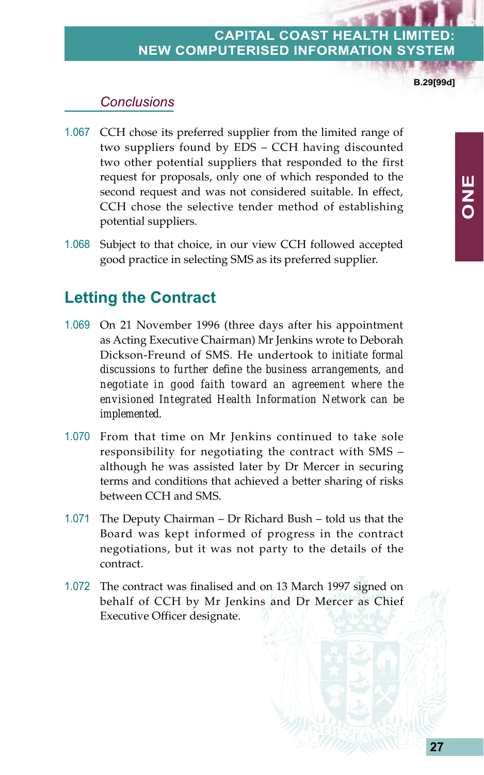**B.29[99d]**

**ONE**

#### *Conclusions*

- 1.067 CCH chose its preferred supplier from the limited range of two suppliers found by EDS – CCH having discounted two other potential suppliers that responded to the first request for proposals, only one of which responded to the second request and was not considered suitable. In effect, CCH chose the selective tender method of establishing potential suppliers.
- 1.068 Subject to that choice, in our view CCH followed accepted good practice in selecting SMS as its preferred supplier.

# **Letting the Contract**

- 1.069 On 21 November 1996 (three days after his appointment as Acting Executive Chairman) Mr Jenkins wrote to Deborah Dickson-Freund of SMS. He undertook *to initiate formal discussions to further define the business arrangements, and negotiate in good faith toward an agreement where the envisioned Integrated Health Information Network can be implemented*.
- 1.070 From that time on Mr Jenkins continued to take sole responsibility for negotiating the contract with SMS – although he was assisted later by Dr Mercer in securing terms and conditions that achieved a better sharing of risks between CCH and SMS.
- 1.071 The Deputy Chairman Dr Richard Bush told us that the Board was kept informed of progress in the contract negotiations, but it was not party to the details of the contract.
- 1.072 The contract was finalised and on 13 March 1997 signed on behalf of CCH by Mr Jenkins and Dr Mercer as Chief Executive Officer designate.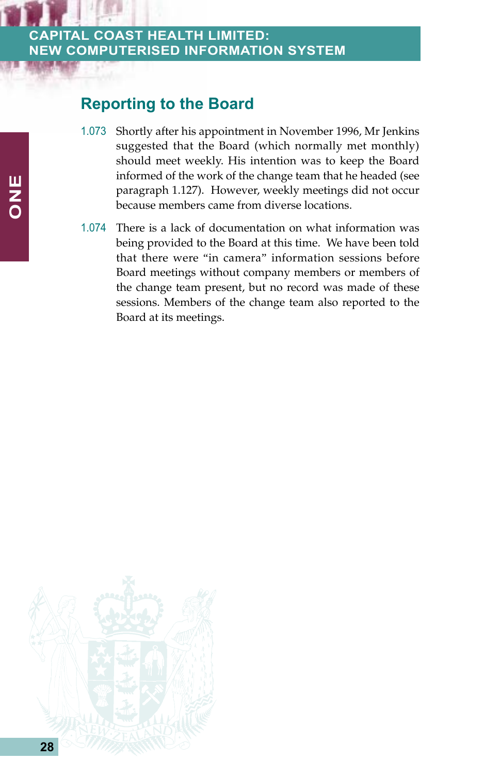## **Reporting to the Board**

- 1.073 Shortly after his appointment in November 1996, Mr Jenkins suggested that the Board (which normally met monthly) should meet weekly. His intention was to keep the Board informed of the work of the change team that he headed (see paragraph 1.127). However, weekly meetings did not occur because members came from diverse locations.
- 1.074 There is a lack of documentation on what information was being provided to the Board at this time. We have been told that there were "in camera" information sessions before Board meetings without company members or members of the change team present, but no record was made of these sessions. Members of the change team also reported to the Board at its meetings.

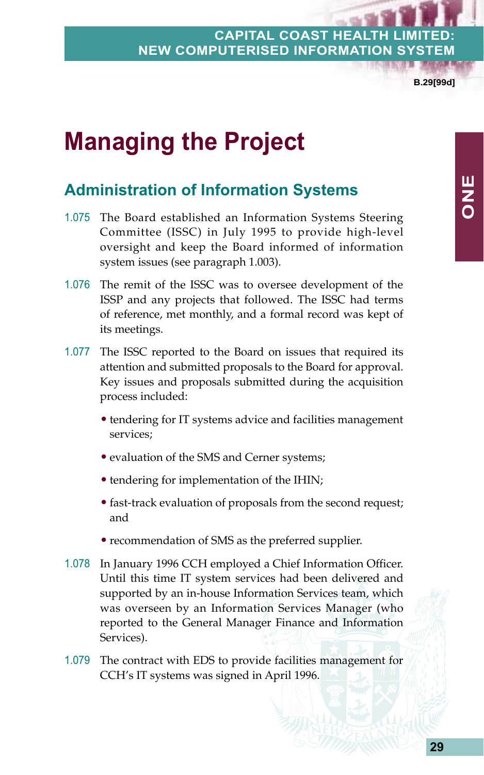**B.29[99d]**

# **Managing the Project**

# **Administration of Information Systems**

- 1.075 The Board established an Information Systems Steering Committee (ISSC) in July 1995 to provide high-level oversight and keep the Board informed of information system issues (see paragraph 1.003).
- 1.076 The remit of the ISSC was to oversee development of the ISSP and any projects that followed. The ISSC had terms of reference, met monthly, and a formal record was kept of its meetings.
- 1.077 The ISSC reported to the Board on issues that required its attention and submitted proposals to the Board for approval. Key issues and proposals submitted during the acquisition process included:
	- tendering for IT systems advice and facilities management services;
	- evaluation of the SMS and Cerner systems;
	- tendering for implementation of the IHIN;
	- fast-track evaluation of proposals from the second request; and
	- recommendation of SMS as the preferred supplier.
- 1.078 In January 1996 CCH employed a Chief Information Officer. Until this time IT system services had been delivered and supported by an in-house Information Services team, which was overseen by an Information Services Manager (who reported to the General Manager Finance and Information Services).
- 1.079 The contract with EDS to provide facilities management for CCH's IT systems was signed in April 1996.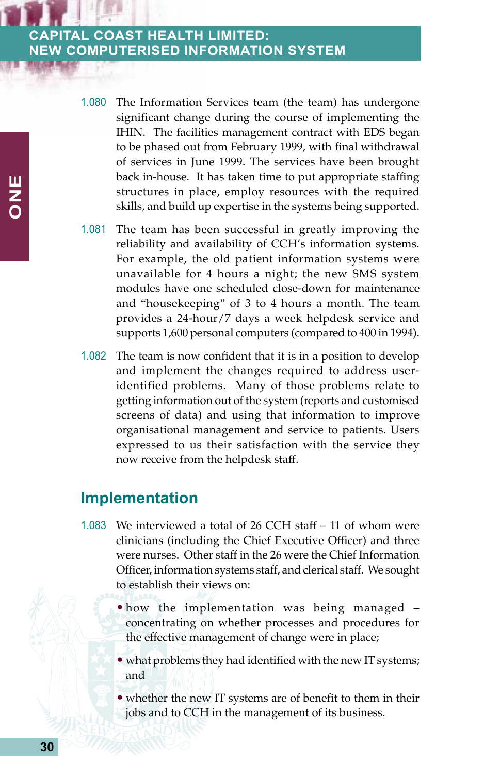- 1.080 The Information Services team (the team) has undergone significant change during the course of implementing the IHIN. The facilities management contract with EDS began to be phased out from February 1999, with final withdrawal of services in June 1999. The services have been brought back in-house. It has taken time to put appropriate staffing structures in place, employ resources with the required skills, and build up expertise in the systems being supported.
- 1.081 The team has been successful in greatly improving the reliability and availability of CCH's information systems. For example, the old patient information systems were unavailable for 4 hours a night; the new SMS system modules have one scheduled close-down for maintenance and "housekeeping" of 3 to 4 hours a month. The team provides a 24-hour/7 days a week helpdesk service and supports 1,600 personal computers (compared to 400 in 1994).
- 1.082 The team is now confident that it is in a position to develop and implement the changes required to address useridentified problems. Many of those problems relate to getting information out of the system (reports and customised screens of data) and using that information to improve organisational management and service to patients. Users expressed to us their satisfaction with the service they now receive from the helpdesk staff.

### **Implementation**

- 1.083 We interviewed a total of 26 CCH staff 11 of whom were clinicians (including the Chief Executive Officer) and three were nurses. Other staff in the 26 were the Chief Information Officer, information systems staff, and clerical staff. We sought to establish their views on:
	- how the implementation was being managed concentrating on whether processes and procedures for the effective management of change were in place;
	- what problems they had identified with the new IT systems; and
	- whether the new IT systems are of benefit to them in their jobs and to CCH in the management of its business.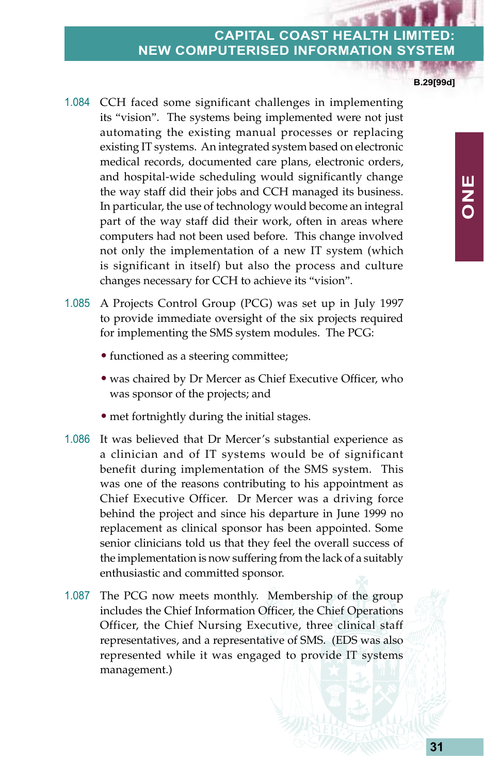**B.29[99d]**

**ONE**

- 1.084 CCH faced some significant challenges in implementing its "vision". The systems being implemented were not just automating the existing manual processes or replacing existing IT systems. An integrated system based on electronic medical records, documented care plans, electronic orders, and hospital-wide scheduling would significantly change the way staff did their jobs and CCH managed its business. In particular, the use of technology would become an integral part of the way staff did their work, often in areas where computers had not been used before. This change involved not only the implementation of a new IT system (which is significant in itself) but also the process and culture changes necessary for CCH to achieve its "vision".
- 1.085 A Projects Control Group (PCG) was set up in July 1997 to provide immediate oversight of the six projects required for implementing the SMS system modules. The PCG:
	- functioned as a steering committee;
	- was chaired by Dr Mercer as Chief Executive Officer, who was sponsor of the projects; and
	- met fortnightly during the initial stages.
- 1.086 It was believed that Dr Mercer's substantial experience as a clinician and of IT systems would be of significant benefit during implementation of the SMS system. This was one of the reasons contributing to his appointment as Chief Executive Officer. Dr Mercer was a driving force behind the project and since his departure in June 1999 no replacement as clinical sponsor has been appointed. Some senior clinicians told us that they feel the overall success of the implementation is now suffering from the lack of a suitably enthusiastic and committed sponsor.
- 1.087 The PCG now meets monthly. Membership of the group includes the Chief Information Officer, the Chief Operations Officer, the Chief Nursing Executive, three clinical staff representatives, and a representative of SMS. (EDS was also represented while it was engaged to provide IT systems management.)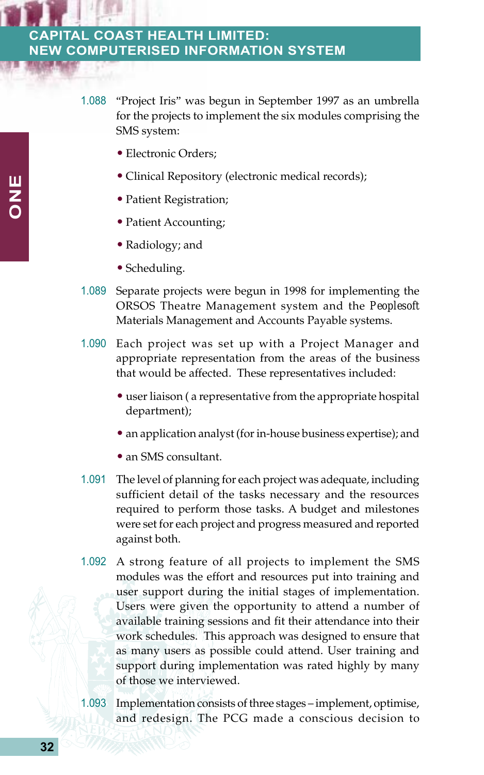- 1.088 "Project Iris" was begun in September 1997 as an umbrella for the projects to implement the six modules comprising the SMS system:
	- Electronic Orders;
	- Clinical Repository (electronic medical records);
	- Patient Registration;
	- Patient Accounting;
	- Radiology; and
	- Scheduling.
- 1.089 Separate projects were begun in 1998 for implementing the ORSOS Theatre Management system and the *Peoplesoft* Materials Management and Accounts Payable systems.
- 1.090 Each project was set up with a Project Manager and appropriate representation from the areas of the business that would be affected. These representatives included:
	- user liaison ( a representative from the appropriate hospital department);
	- an application analyst (for in-house business expertise); and
	- an SMS consultant.
- 1.091 The level of planning for each project was adequate, including sufficient detail of the tasks necessary and the resources required to perform those tasks. A budget and milestones were set for each project and progress measured and reported against both.
- 1.092 A strong feature of all projects to implement the SMS modules was the effort and resources put into training and user support during the initial stages of implementation. Users were given the opportunity to attend a number of available training sessions and fit their attendance into their work schedules. This approach was designed to ensure that as many users as possible could attend. User training and support during implementation was rated highly by many of those we interviewed.
- 1.093 Implementation consists of three stages implement, optimise, and redesign. The PCG made a conscious decision to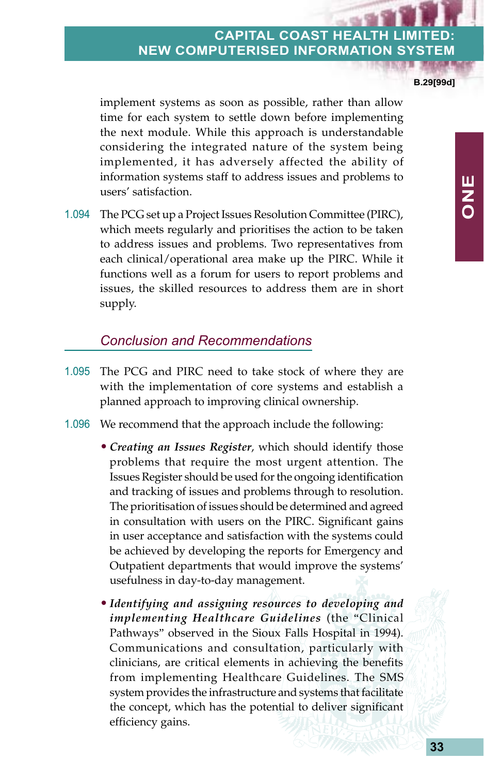**B.29[99d]**

**ONE**

implement systems as soon as possible, rather than allow time for each system to settle down before implementing the next module. While this approach is understandable considering the integrated nature of the system being implemented, it has adversely affected the ability of information systems staff to address issues and problems to users' satisfaction.

1.094 The PCG set up a Project Issues Resolution Committee (PIRC), which meets regularly and prioritises the action to be taken to address issues and problems. Two representatives from each clinical/operational area make up the PIRC. While it functions well as a forum for users to report problems and issues, the skilled resources to address them are in short supply.

#### *Conclusion and Recommendations*

- 1.095 The PCG and PIRC need to take stock of where they are with the implementation of core systems and establish a planned approach to improving clinical ownership.
- 1.096 We recommend that the approach include the following:
	- *Creating an Issues Register*, which should identify those problems that require the most urgent attention. The Issues Register should be used for the ongoing identification and tracking of issues and problems through to resolution. The prioritisation of issues should be determined and agreed in consultation with users on the PIRC. Significant gains in user acceptance and satisfaction with the systems could be achieved by developing the reports for Emergency and Outpatient departments that would improve the systems' usefulness in day-to-day management.
	- *Identifying and assigning resources to developing and implementing Healthcare Guidelines* (the "Clinical Pathways" observed in the Sioux Falls Hospital in 1994). Communications and consultation, particularly with clinicians, are critical elements in achieving the benefits from implementing Healthcare Guidelines. The SMS system provides the infrastructure and systems that facilitate the concept, which has the potential to deliver significant efficiency gains.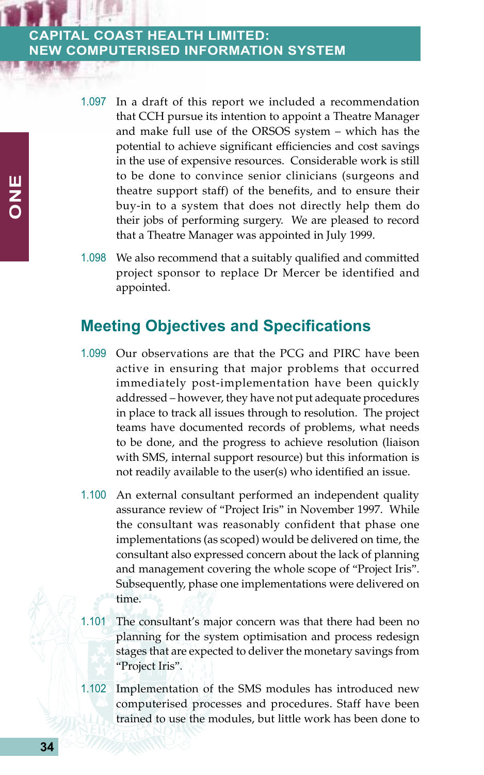- 1.097 In a draft of this report we included a recommendation that CCH pursue its intention to appoint a Theatre Manager and make full use of the ORSOS system – which has the potential to achieve significant efficiencies and cost savings in the use of expensive resources. Considerable work is still to be done to convince senior clinicians (surgeons and theatre support staff) of the benefits, and to ensure their buy-in to a system that does not directly help them do their jobs of performing surgery. We are pleased to record that a Theatre Manager was appointed in July 1999.
- 1.098 We also recommend that a suitably qualified and committed project sponsor to replace Dr Mercer be identified and appointed.

### **Meeting Objectives and Specifications**

- 1.099 Our observations are that the PCG and PIRC have been active in ensuring that major problems that occurred immediately post-implementation have been quickly addressed – however, they have not put adequate procedures in place to track all issues through to resolution. The project teams have documented records of problems, what needs to be done, and the progress to achieve resolution (liaison with SMS, internal support resource) but this information is not readily available to the user(s) who identified an issue.
- 1.100 An external consultant performed an independent quality assurance review of "Project Iris" in November 1997. While the consultant was reasonably confident that phase one implementations (as scoped) would be delivered on time, the consultant also expressed concern about the lack of planning and management covering the whole scope of "Project Iris". Subsequently, phase one implementations were delivered on time.
- 1.101 The consultant's major concern was that there had been no planning for the system optimisation and process redesign stages that are expected to deliver the monetary savings from "Project Iris".
- 1.102 Implementation of the SMS modules has introduced new computerised processes and procedures. Staff have been trained to use the modules, but little work has been done to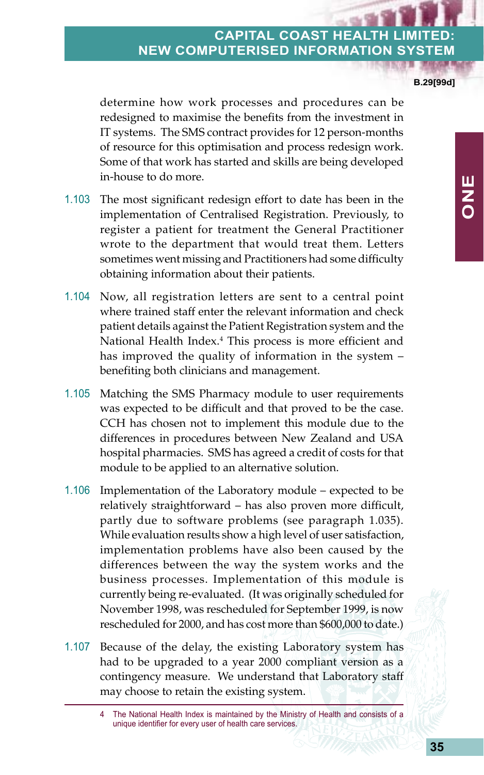**B.29[99d]**

determine how work processes and procedures can be redesigned to maximise the benefits from the investment in IT systems. The SMS contract provides for 12 person-months of resource for this optimisation and process redesign work. Some of that work has started and skills are being developed in-house to do more.

- 1.103 The most significant redesign effort to date has been in the implementation of Centralised Registration. Previously, to register a patient for treatment the General Practitioner wrote to the department that would treat them. Letters sometimes went missing and Practitioners had some difficulty obtaining information about their patients.
- 1.104 Now, all registration letters are sent to a central point where trained staff enter the relevant information and check patient details against the Patient Registration system and the National Health Index.4 This process is more efficient and has improved the quality of information in the system – benefiting both clinicians and management.
- 1.105 Matching the SMS Pharmacy module to user requirements was expected to be difficult and that proved to be the case. CCH has chosen not to implement this module due to the differences in procedures between New Zealand and USA hospital pharmacies. SMS has agreed a credit of costs for that module to be applied to an alternative solution.
- 1.106 Implementation of the Laboratory module expected to be relatively straightforward – has also proven more difficult, partly due to software problems (see paragraph 1.035). While evaluation results show a high level of user satisfaction, implementation problems have also been caused by the differences between the way the system works and the business processes. Implementation of this module is currently being re-evaluated. (It was originally scheduled for November 1998, was rescheduled for September 1999, is now rescheduled for 2000, and has cost more than \$600,000 to date.)
- 1.107 Because of the delay, the existing Laboratory system has had to be upgraded to a year 2000 compliant version as a contingency measure. We understand that Laboratory staff may choose to retain the existing system.

<sup>4</sup> The National Health Index is maintained by the Ministry of Health and consists of a unique identifier for every user of health care services.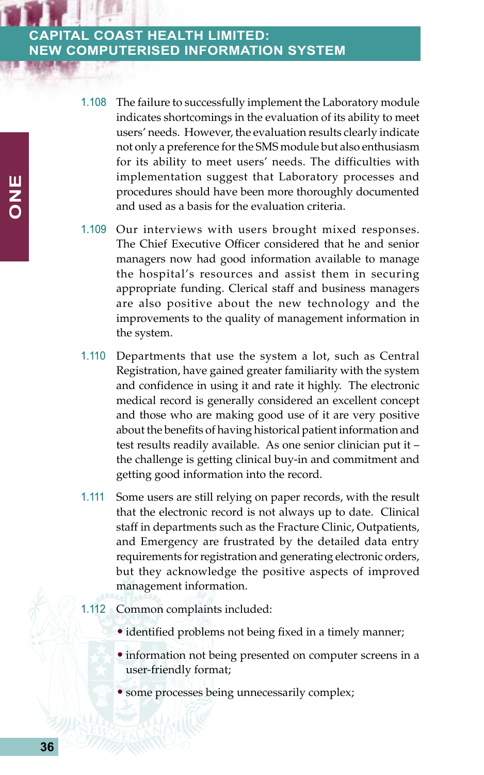- 1.108 The failure to successfully implement the Laboratory module indicates shortcomings in the evaluation of its ability to meet users' needs. However, the evaluation results clearly indicate not only a preference for the SMS module but also enthusiasm for its ability to meet users' needs. The difficulties with implementation suggest that Laboratory processes and procedures should have been more thoroughly documented and used as a basis for the evaluation criteria.
- 1.109 Our interviews with users brought mixed responses. The Chief Executive Officer considered that he and senior managers now had good information available to manage the hospital's resources and assist them in securing appropriate funding. Clerical staff and business managers are also positive about the new technology and the improvements to the quality of management information in the system.
- 1.110 Departments that use the system a lot, such as Central Registration, have gained greater familiarity with the system and confidence in using it and rate it highly. The electronic medical record is generally considered an excellent concept and those who are making good use of it are very positive about the benefits of having historical patient information and test results readily available. As one senior clinician put it – the challenge is getting clinical buy-in and commitment and getting good information into the record.
- 1.111 Some users are still relying on paper records, with the result that the electronic record is not always up to date. Clinical staff in departments such as the Fracture Clinic, Outpatients, and Emergency are frustrated by the detailed data entry requirements for registration and generating electronic orders, but they acknowledge the positive aspects of improved management information.

#### 1.112 Common complaints included:

- identified problems not being fixed in a timely manner;
- information not being presented on computer screens in a user-friendly format;
- some processes being unnecessarily complex;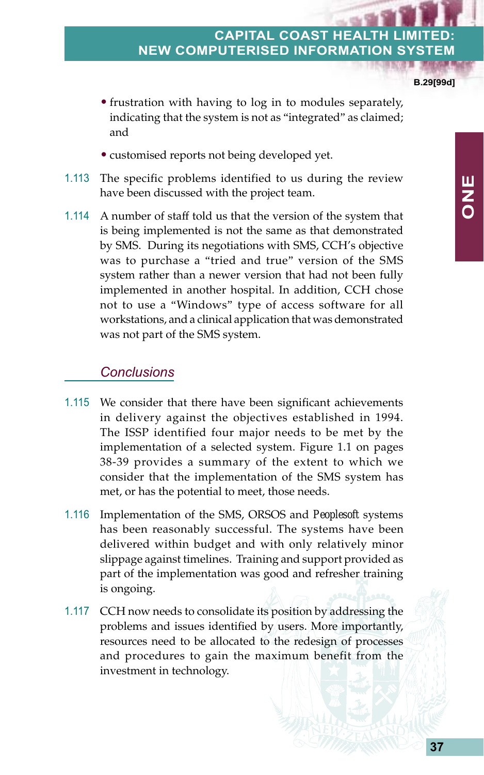**B.29[99d]**

**ONE**

- frustration with having to log in to modules separately, indicating that the system is not as "integrated" as claimed; and
- customised reports not being developed yet.
- 1.113 The specific problems identified to us during the review have been discussed with the project team.
- 1.114 A number of staff told us that the version of the system that is being implemented is not the same as that demonstrated by SMS. During its negotiations with SMS, CCH's objective was to purchase a "tried and true" version of the SMS system rather than a newer version that had not been fully implemented in another hospital. In addition, CCH chose not to use a "Windows" type of access software for all workstations, and a clinical application that was demonstrated was not part of the SMS system.

#### *Conclusions*

- 1.115 We consider that there have been significant achievements in delivery against the objectives established in 1994. The ISSP identified four major needs to be met by the implementation of a selected system. Figure 1.1 on pages 38-39 provides a summary of the extent to which we consider that the implementation of the SMS system has met, or has the potential to meet, those needs.
- 1.116 Implementation of the SMS, ORSOS and *Peoplesoft* systems has been reasonably successful. The systems have been delivered within budget and with only relatively minor slippage against timelines. Training and support provided as part of the implementation was good and refresher training is ongoing.
- 1.117 CCH now needs to consolidate its position by addressing the problems and issues identified by users. More importantly, resources need to be allocated to the redesign of processes and procedures to gain the maximum benefit from the investment in technology.

**37**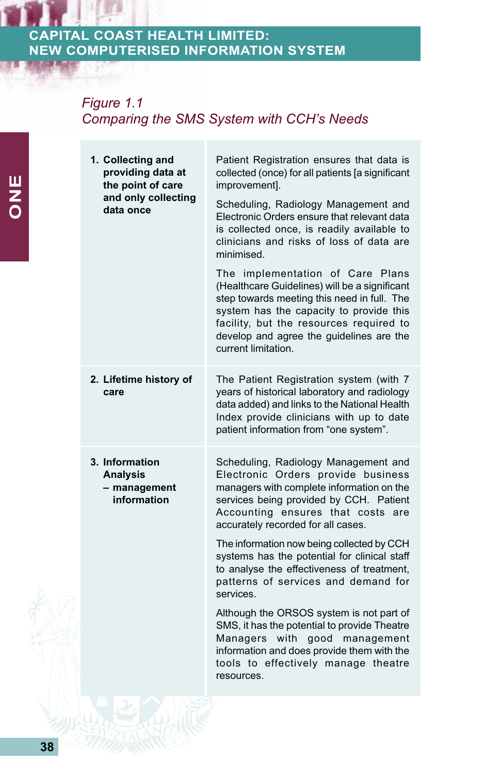## *Figure 1.1 Comparing the SMS System with CCH's Needs*

|  | 1. Collecting and<br>providing data at<br>the point of care<br>and only collecting<br>data once | Patient Registration ensures that data is<br>collected (once) for all patients [a significant<br>improvement].                                                                                                                                                                            |
|--|-------------------------------------------------------------------------------------------------|-------------------------------------------------------------------------------------------------------------------------------------------------------------------------------------------------------------------------------------------------------------------------------------------|
|  |                                                                                                 | Scheduling, Radiology Management and<br>Electronic Orders ensure that relevant data<br>is collected once, is readily available to<br>clinicians and risks of loss of data are<br>minimised.                                                                                               |
|  |                                                                                                 | The implementation of Care Plans<br>(Healthcare Guidelines) will be a significant<br>step towards meeting this need in full. The<br>system has the capacity to provide this<br>facility, but the resources required to<br>develop and agree the guidelines are the<br>current limitation. |
|  | 2. Lifetime history of<br>care                                                                  | The Patient Registration system (with 7<br>years of historical laboratory and radiology<br>data added) and links to the National Health<br>Index provide clinicians with up to date<br>patient information from "one system".                                                             |
|  | 3. Information<br><b>Analysis</b><br>- management<br>information                                | Scheduling, Radiology Management and<br>Electronic Orders provide business<br>managers with complete information on the<br>services being provided by CCH. Patient<br>Accounting ensures that costs are<br>accurately recorded for all cases.                                             |
|  |                                                                                                 | The information now being collected by CCH<br>systems has the potential for clinical staff<br>to analyse the effectiveness of treatment,<br>patterns of services and demand for<br>services.                                                                                              |
|  |                                                                                                 | Although the ORSOS system is not part of<br>SMS, it has the potential to provide Theatre<br>Managers<br>with<br>good management<br>information and does provide them with the<br>tools to effectively manage theatre<br>resources.                                                        |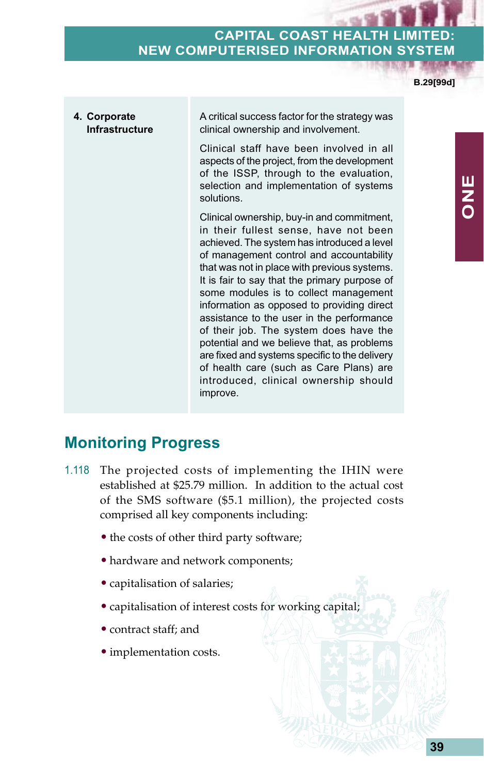**B.29[99d]**

**4. Corporate Infrastructure** A critical success factor for the strategy was clinical ownership and involvement. Clinical staff have been involved in all aspects of the project, from the development of the ISSP, through to the evaluation, selection and implementation of systems solutions. Clinical ownership, buy-in and commitment, in their fullest sense, have not been achieved. The system has introduced a level of management control and accountability that was not in place with previous systems. It is fair to say that the primary purpose of some modules is to collect management information as opposed to providing direct assistance to the user in the performance of their job. The system does have the potential and we believe that, as problems are fixed and systems specific to the delivery of health care (such as Care Plans) are introduced, clinical ownership should improve.

## **Monitoring Progress**

- 1.118 The projected costs of implementing the IHIN were established at \$25.79 million. In addition to the actual cost of the SMS software (\$5.1 million), the projected costs comprised all key components including:
	- the costs of other third party software;
	- hardware and network components;
	- capitalisation of salaries;
	- capitalisation of interest costs for working capital;
	- contract staff; and
	- implementation costs.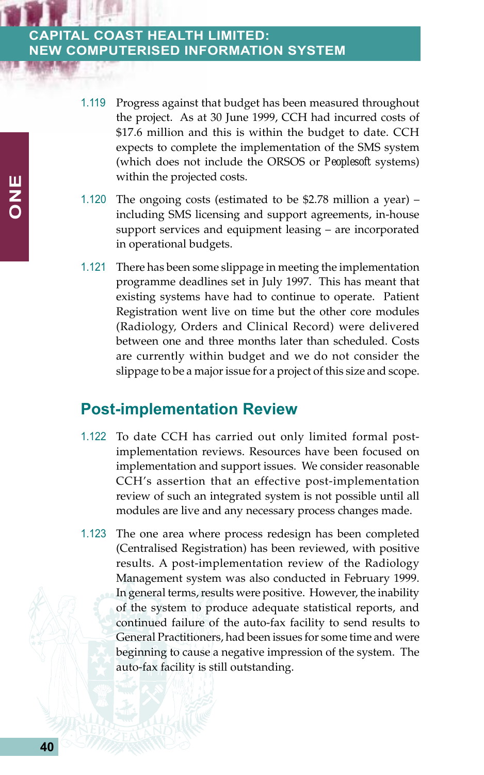- 1.119 Progress against that budget has been measured throughout the project. As at 30 June 1999, CCH had incurred costs of \$17.6 million and this is within the budget to date. CCH expects to complete the implementation of the SMS system (which does not include the ORSOS or *Peoplesoft* systems) within the projected costs.
- 1.120 The ongoing costs (estimated to be \$2.78 million a year) including SMS licensing and support agreements, in-house support services and equipment leasing – are incorporated in operational budgets.
- 1.121 There has been some slippage in meeting the implementation programme deadlines set in July 1997. This has meant that existing systems have had to continue to operate. Patient Registration went live on time but the other core modules (Radiology, Orders and Clinical Record) were delivered between one and three months later than scheduled. Costs are currently within budget and we do not consider the slippage to be a major issue for a project of this size and scope.

### **Post-implementation Review**

- 1.122 To date CCH has carried out only limited formal postimplementation reviews. Resources have been focused on implementation and support issues. We consider reasonable CCH's assertion that an effective post-implementation review of such an integrated system is not possible until all modules are live and any necessary process changes made.
- 1.123 The one area where process redesign has been completed (Centralised Registration) has been reviewed, with positive results. A post-implementation review of the Radiology Management system was also conducted in February 1999. In general terms, results were positive. However, the inability of the system to produce adequate statistical reports, and continued failure of the auto-fax facility to send results to General Practitioners, had been issues for some time and were beginning to cause a negative impression of the system. The auto-fax facility is still outstanding.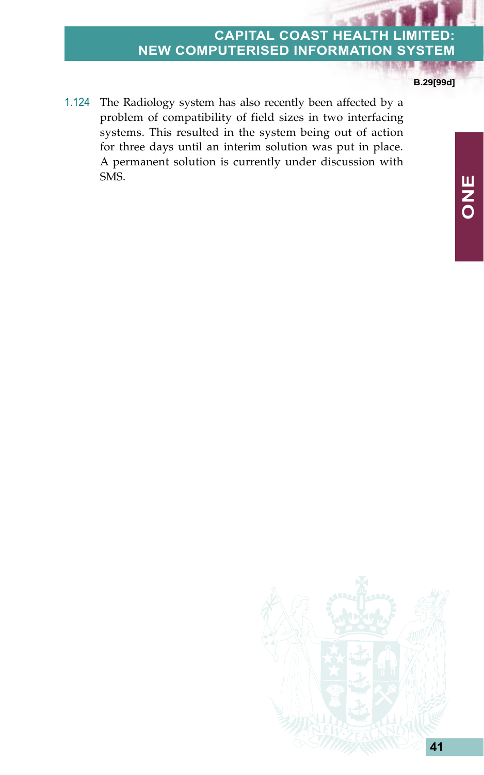#### **B.29[99d]**

1.124 The Radiology system has also recently been affected by a problem of compatibility of field sizes in two interfacing systems. This resulted in the system being out of action for three days until an interim solution was put in place. A permanent solution is currently under discussion with SMS.

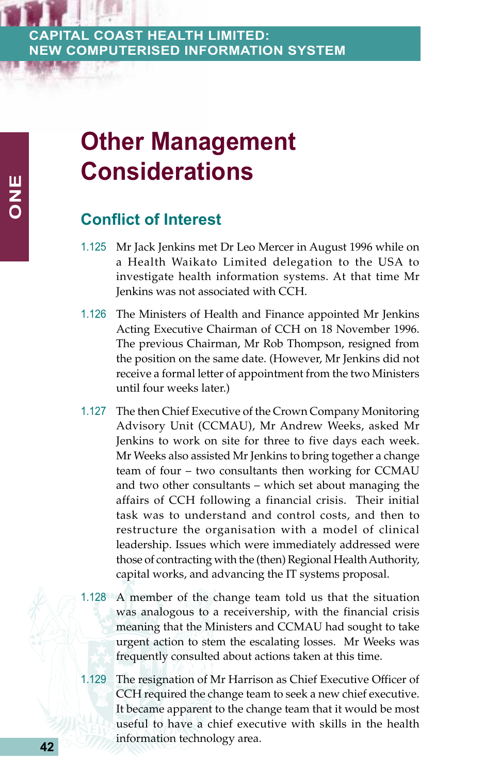# **Other Management Considerations**

## **Conflict of Interest**

- 1.125 Mr Jack Jenkins met Dr Leo Mercer in August 1996 while on a Health Waikato Limited delegation to the USA to investigate health information systems. At that time Mr Jenkins was not associated with CCH.
- 1.126 The Ministers of Health and Finance appointed Mr Jenkins Acting Executive Chairman of CCH on 18 November 1996. The previous Chairman, Mr Rob Thompson, resigned from the position on the same date. (However, Mr Jenkins did not receive a formal letter of appointment from the two Ministers until four weeks later.)
- 1.127 The then Chief Executive of the Crown Company Monitoring Advisory Unit (CCMAU), Mr Andrew Weeks, asked Mr Jenkins to work on site for three to five days each week. Mr Weeks also assisted Mr Jenkins to bring together a change team of four – two consultants then working for CCMAU and two other consultants – which set about managing the affairs of CCH following a financial crisis. Their initial task was to understand and control costs, and then to restructure the organisation with a model of clinical leadership. Issues which were immediately addressed were those of contracting with the (then) Regional Health Authority, capital works, and advancing the IT systems proposal.
- 1.128 A member of the change team told us that the situation was analogous to a receivership, with the financial crisis meaning that the Ministers and CCMAU had sought to take urgent action to stem the escalating losses. Mr Weeks was frequently consulted about actions taken at this time.
- 1.129 The resignation of Mr Harrison as Chief Executive Officer of CCH required the change team to seek a new chief executive. It became apparent to the change team that it would be most useful to have a chief executive with skills in the health information technology area.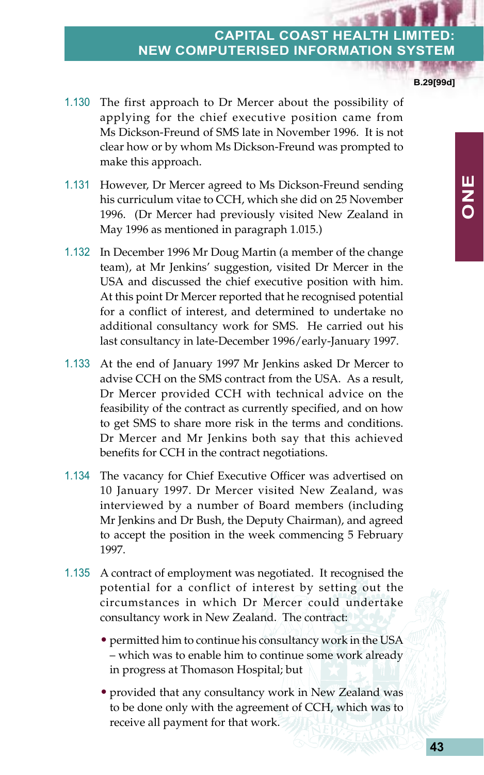**B.29[99d]**

**ONE**

- 1.130 The first approach to Dr Mercer about the possibility of applying for the chief executive position came from Ms Dickson-Freund of SMS late in November 1996. It is not clear how or by whom Ms Dickson-Freund was prompted to make this approach.
- 1.131 However, Dr Mercer agreed to Ms Dickson-Freund sending his curriculum vitae to CCH, which she did on 25 November 1996. (Dr Mercer had previously visited New Zealand in May 1996 as mentioned in paragraph 1.015.)
- 1.132 In December 1996 Mr Doug Martin (a member of the change team), at Mr Jenkins' suggestion, visited Dr Mercer in the USA and discussed the chief executive position with him. At this point Dr Mercer reported that he recognised potential for a conflict of interest, and determined to undertake no additional consultancy work for SMS. He carried out his last consultancy in late-December 1996/early-January 1997.
- 1.133 At the end of January 1997 Mr Jenkins asked Dr Mercer to advise CCH on the SMS contract from the USA. As a result, Dr Mercer provided CCH with technical advice on the feasibility of the contract as currently specified, and on how to get SMS to share more risk in the terms and conditions. Dr Mercer and Mr Jenkins both say that this achieved benefits for CCH in the contract negotiations.
- 1.134 The vacancy for Chief Executive Officer was advertised on 10 January 1997. Dr Mercer visited New Zealand, was interviewed by a number of Board members (including Mr Jenkins and Dr Bush, the Deputy Chairman), and agreed to accept the position in the week commencing 5 February 1997.
- 1.135 A contract of employment was negotiated. It recognised the potential for a conflict of interest by setting out the circumstances in which Dr Mercer could undertake consultancy work in New Zealand. The contract:
	- permitted him to continue his consultancy work in the USA – which was to enable him to continue some work already in progress at Thomason Hospital; but
	- provided that any consultancy work in New Zealand was to be done only with the agreement of CCH, which was to receive all payment for that work.

**43**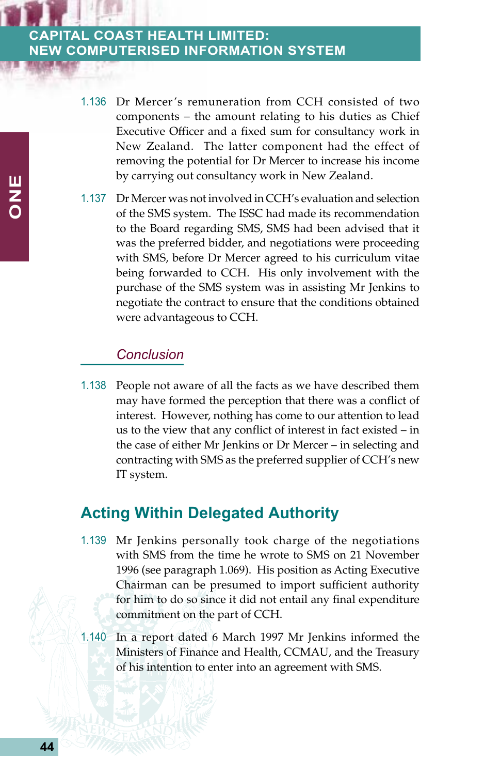- 1.136 Dr Mercer's remuneration from CCH consisted of two components – the amount relating to his duties as Chief Executive Officer and a fixed sum for consultancy work in New Zealand. The latter component had the effect of removing the potential for Dr Mercer to increase his income by carrying out consultancy work in New Zealand.
- 1.137 Dr Mercer was not involved in CCH's evaluation and selection of the SMS system. The ISSC had made its recommendation to the Board regarding SMS, SMS had been advised that it was the preferred bidder, and negotiations were proceeding with SMS, before Dr Mercer agreed to his curriculum vitae being forwarded to CCH. His only involvement with the purchase of the SMS system was in assisting Mr Jenkins to negotiate the contract to ensure that the conditions obtained were advantageous to CCH.

#### *Conclusion*

1.138 People not aware of all the facts as we have described them may have formed the perception that there was a conflict of interest. However, nothing has come to our attention to lead us to the view that any conflict of interest in fact existed – in the case of either Mr Jenkins or Dr Mercer – in selecting and contracting with SMS as the preferred supplier of CCH's new IT system.

## **Acting Within Delegated Authority**

- 1.139 Mr Jenkins personally took charge of the negotiations with SMS from the time he wrote to SMS on 21 November 1996 (see paragraph 1.069). His position as Acting Executive Chairman can be presumed to import sufficient authority for him to do so since it did not entail any final expenditure commitment on the part of CCH.
- 1.140 In a report dated 6 March 1997 Mr Jenkins informed the Ministers of Finance and Health, CCMAU, and the Treasury of his intention to enter into an agreement with SMS.